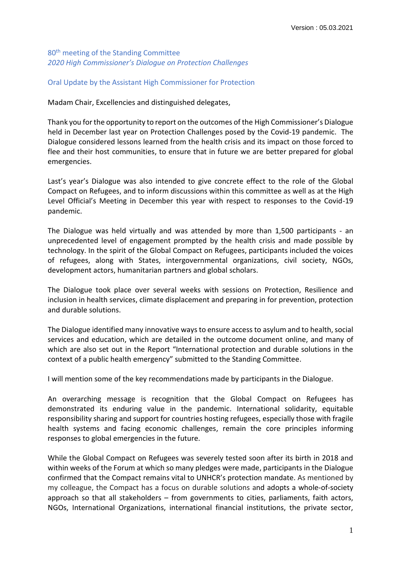80<sup>th</sup> meeting of the Standing Committee *2020 High Commissioner's Dialogue on Protection Challenges* 

## Oral Update by the Assistant High Commissioner for Protection

Madam Chair, Excellencies and distinguished delegates,

Thank you for the opportunity to report on the outcomes of the High Commissioner's Dialogue held in December last year on Protection Challenges posed by the Covid-19 pandemic. The Dialogue considered lessons learned from the health crisis and its impact on those forced to flee and their host communities, to ensure that in future we are better prepared for global emergencies.

Last's year's Dialogue was also intended to give concrete effect to the role of the Global Compact on Refugees, and to inform discussions within this committee as well as at the High Level Official's Meeting in December this year with respect to responses to the Covid-19 pandemic.

The Dialogue was held virtually and was attended by more than 1,500 participants - an unprecedented level of engagement prompted by the health crisis and made possible by technology. In the spirit of the Global Compact on Refugees, participants included the voices of refugees, along with States, intergovernmental organizations, civil society, NGOs, development actors, humanitarian partners and global scholars.

The Dialogue took place over several weeks with sessions on Protection, Resilience and inclusion in health services, climate displacement and preparing in for prevention, protection and durable solutions.

The Dialogue identified many innovative ways to ensure access to asylum and to health, social services and education, which are detailed in the outcome document online, and many of which are also set out in the Report "International protection and durable solutions in the context of a public health emergency" submitted to the Standing Committee.

I will mention some of the key recommendations made by participants in the Dialogue.

An overarching message is recognition that the Global Compact on Refugees has demonstrated its enduring value in the pandemic. International solidarity, equitable responsibility sharing and support for countries hosting refugees, especially those with fragile health systems and facing economic challenges, remain the core principles informing responses to global emergencies in the future.

While the Global Compact on Refugees was severely tested soon after its birth in 2018 and within weeks of the Forum at which so many pledges were made, participants in the Dialogue confirmed that the Compact remains vital to UNHCR's protection mandate. As mentioned by my colleague, the Compact has a focus on durable solutions and adopts a whole-of-society approach so that all stakeholders – from governments to cities, parliaments, faith actors, NGOs, International Organizations, international financial institutions, the private sector,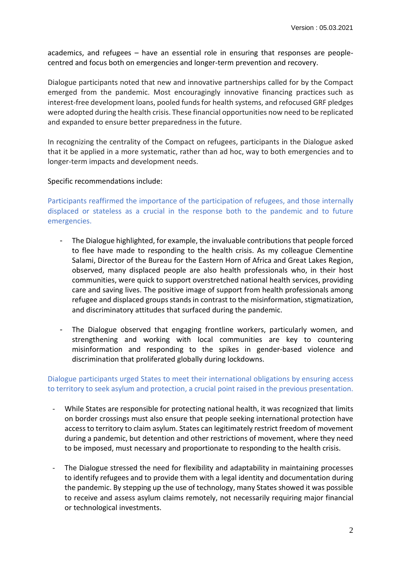academics, and refugees – have an essential role in ensuring that responses are peoplecentred and focus both on emergencies and longer-term prevention and recovery.

Dialogue participants noted that new and innovative partnerships called for by the Compact emerged from the pandemic. Most encouragingly innovative financing practices such as interest-free development loans, pooled funds for health systems, and refocused GRF pledges were adopted during the health crisis. These financial opportunities now need to be replicated and expanded to ensure better preparedness in the future.

In recognizing the centrality of the Compact on refugees, participants in the Dialogue asked that it be applied in a more systematic, rather than ad hoc, way to both emergencies and to longer-term impacts and development needs.

## Specific recommendations include:

Participants reaffirmed the importance of the participation of refugees, and those internally displaced or stateless as a crucial in the response both to the pandemic and to future emergencies.

- The Dialogue highlighted, for example, the invaluable contributions that people forced to flee have made to responding to the health crisis. As my colleague Clementine Salami, Director of the Bureau for the Eastern Horn of Africa and Great Lakes Region, observed, many displaced people are also health professionals who, in their host communities, were quick to support overstretched national health services, providing care and saving lives. The positive image of support from health professionals among refugee and displaced groups stands in contrast to the misinformation, stigmatization, and discriminatory attitudes that surfaced during the pandemic.
- The Dialogue observed that engaging frontline workers, particularly women, and strengthening and working with local communities are key to countering misinformation and responding to the spikes in gender-based violence and discrimination that proliferated globally during lockdowns.

## Dialogue participants urged States to meet their international obligations by ensuring access to territory to seek asylum and protection, a crucial point raised in the previous presentation.

- While States are responsible for protecting national health, it was recognized that limits on border crossings must also ensure that people seeking international protection have access to territory to claim asylum. States can legitimately restrict freedom of movement during a pandemic, but detention and other restrictions of movement, where they need to be imposed, must necessary and proportionate to responding to the health crisis.
- The Dialogue stressed the need for flexibility and adaptability in maintaining processes to identify refugees and to provide them with a legal identity and documentation during the pandemic. By stepping up the use of technology, many States showed it was possible to receive and assess asylum claims remotely, not necessarily requiring major financial or technological investments.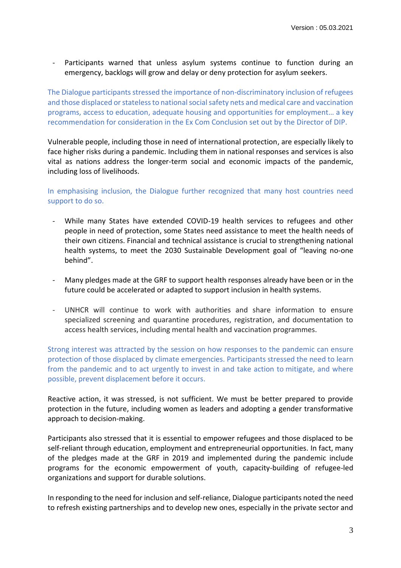Participants warned that unless asylum systems continue to function during an emergency, backlogs will grow and delay or deny protection for asylum seekers.

The Dialogue participants stressed the importance of non-discriminatory inclusion of refugees and those displaced or stateless to national social safety nets and medical care and vaccination programs, access to education, adequate housing and opportunities for employment… a key recommendation for consideration in the Ex Com Conclusion set out by the Director of DIP.

Vulnerable people, including those in need of international protection, are especially likely to face higher risks during a pandemic. Including them in national responses and services is also vital as nations address the longer-term social and economic impacts of the pandemic, including loss of livelihoods.

In emphasising inclusion, the Dialogue further recognized that many host countries need support to do so.

- While many States have extended COVID-19 health services to refugees and other people in need of protection, some States need assistance to meet the health needs of their own citizens. Financial and technical assistance is crucial to strengthening national health systems, to meet the 2030 Sustainable Development goal of "leaving no-one behind".
- Many pledges made at the GRF to support health responses already have been or in the future could be accelerated or adapted to support inclusion in health systems.
- UNHCR will continue to work with authorities and share information to ensure specialized screening and quarantine procedures, registration, and documentation to access health services, including mental health and vaccination programmes.

Strong interest was attracted by the session on how responses to the pandemic can ensure protection of those displaced by climate emergencies. Participants stressed the need to learn from the pandemic and to act urgently to invest in and take action to mitigate, and where possible, prevent displacement before it occurs.

Reactive action, it was stressed, is not sufficient. We must be better prepared to provide protection in the future, including women as leaders and adopting a gender transformative approach to decision-making.

Participants also stressed that it is essential to empower refugees and those displaced to be self-reliant through education, employment and entrepreneurial opportunities. In fact, many of the pledges made at the GRF in 2019 and implemented during the pandemic include programs for the economic empowerment of youth, capacity-building of refugee-led organizations and support for durable solutions.

In responding to the need for inclusion and self-reliance, Dialogue participants noted the need to refresh existing partnerships and to develop new ones, especially in the private sector and